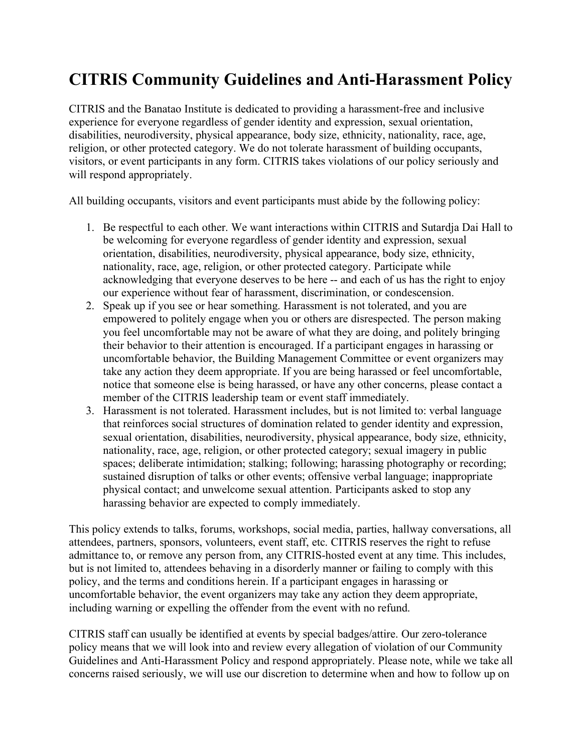## **CITRIS Community Guidelines and Anti-Harassment Policy**

CITRIS and the Banatao Institute is dedicated to providing a harassment-free and inclusive experience for everyone regardless of gender identity and expression, sexual orientation, disabilities, neurodiversity, physical appearance, body size, ethnicity, nationality, race, age, religion, or other protected category. We do not tolerate harassment of building occupants, visitors, or event participants in any form. CITRIS takes violations of our policy seriously and will respond appropriately.

All building occupants, visitors and event participants must abide by the following policy:

- 1. Be respectful to each other. We want interactions within CITRIS and Sutardja Dai Hall to be welcoming for everyone regardless of gender identity and expression, sexual orientation, disabilities, neurodiversity, physical appearance, body size, ethnicity, nationality, race, age, religion, or other protected category. Participate while acknowledging that everyone deserves to be here -- and each of us has the right to enjoy our experience without fear of harassment, discrimination, or condescension.
- 2. Speak up if you see or hear something. Harassment is not tolerated, and you are empowered to politely engage when you or others are disrespected. The person making you feel uncomfortable may not be aware of what they are doing, and politely bringing their behavior to their attention is encouraged. If a participant engages in harassing or uncomfortable behavior, the Building Management Committee or event organizers may take any action they deem appropriate. If you are being harassed or feel uncomfortable, notice that someone else is being harassed, or have any other concerns, please contact a member of the CITRIS leadership team or event staff immediately.
- 3. Harassment is not tolerated. Harassment includes, but is not limited to: verbal language that reinforces social structures of domination related to gender identity and expression, sexual orientation, disabilities, neurodiversity, physical appearance, body size, ethnicity, nationality, race, age, religion, or other protected category; sexual imagery in public spaces; deliberate intimidation; stalking; following; harassing photography or recording; sustained disruption of talks or other events; offensive verbal language; inappropriate physical contact; and unwelcome sexual attention. Participants asked to stop any harassing behavior are expected to comply immediately.

This policy extends to talks, forums, workshops, social media, parties, hallway conversations, all attendees, partners, sponsors, volunteers, event staff, etc. CITRIS reserves the right to refuse admittance to, or remove any person from, any CITRIS-hosted event at any time. This includes, but is not limited to, attendees behaving in a disorderly manner or failing to comply with this policy, and the terms and conditions herein. If a participant engages in harassing or uncomfortable behavior, the event organizers may take any action they deem appropriate, including warning or expelling the offender from the event with no refund.

CITRIS staff can usually be identified at events by special badges/attire. Our zero-tolerance policy means that we will look into and review every allegation of violation of our Community Guidelines and Anti-Harassment Policy and respond appropriately. Please note, while we take all concerns raised seriously, we will use our discretion to determine when and how to follow up on